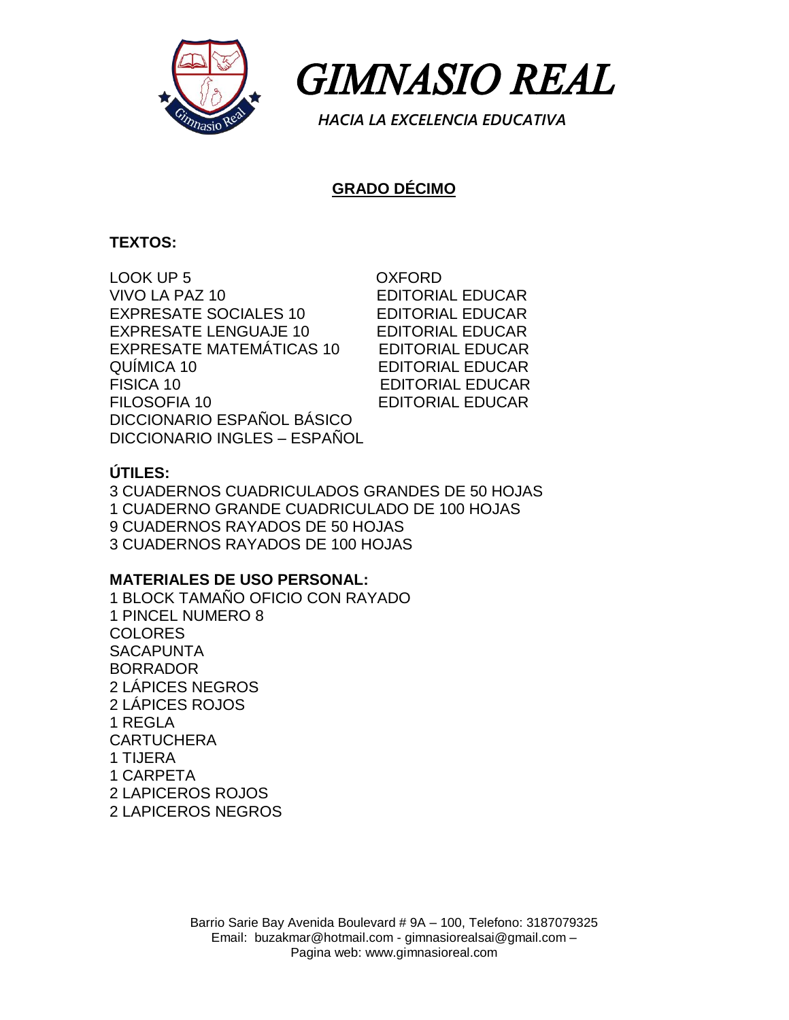

 *GIMNASIO REAL* 

 *HACIA LA EXCELENCIA EDUCATIVA*

# **GRADO DÉCIMO**

## **TEXTOS:**

LOOK UP 5 OXFORD VIVO LA PAZ 10 EDITORIAL EDUCAR EXPRESATE SOCIALES 10 EDITORIAL EDUCAR EXPRESATE LENGUAJE 10 EDITORIAL EDUCAR EXPRESATE MATEMÁTICAS 10 EDITORIAL EDUCAR QUÍMICA 10 EDITORIAL EDUCAR FISICA 10 EDITORIAL EDUCAR FILOSOFIA 10 EDITORIAL EDUCAR DICCIONARIO ESPAÑOL BÁSICO DICCIONARIO INGLES – ESPAÑOL

## **ÚTILES:**

3 CUADERNOS CUADRICULADOS GRANDES DE 50 HOJAS 1 CUADERNO GRANDE CUADRICULADO DE 100 HOJAS 9 CUADERNOS RAYADOS DE 50 HOJAS 3 CUADERNOS RAYADOS DE 100 HOJAS

#### **MATERIALES DE USO PERSONAL:**

1 BLOCK TAMAÑO OFICIO CON RAYADO 1 PINCEL NUMERO 8 COLORES **SACAPUNTA** BORRADOR 2 LÁPICES NEGROS 2 LÁPICES ROJOS 1 REGLA **CARTUCHERA** 1 TIJERA 1 CARPETA 2 LAPICEROS ROJOS 2 LAPICEROS NEGROS